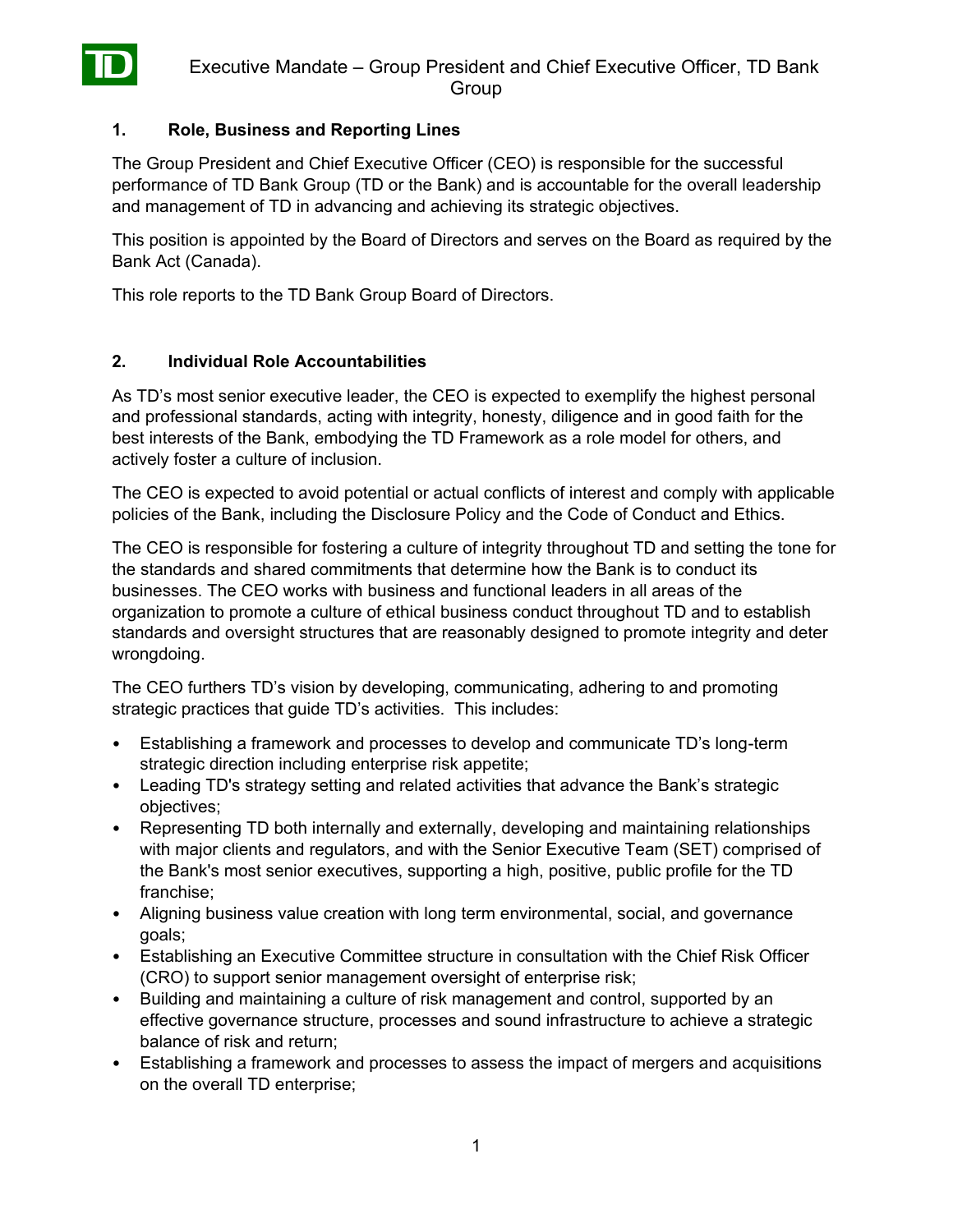

### **1. Role, Business and Reporting Lines**

The Group President and Chief Executive Officer (CEO) is responsible for the successful performance of TD Bank Group (TD or the Bank) and is accountable for the overall leadership and management of TD in advancing and achieving its strategic objectives.

This position is appointed by the Board of Directors and serves on the Board as required by the Bank Act (Canada).

This role reports to the TD Bank Group Board of Directors.

### **2. Individual Role Accountabilities**

As TD's most senior executive leader, the CEO is expected to exemplify the highest personal and professional standards, acting with integrity, honesty, diligence and in good faith for the best interests of the Bank, embodying the TD Framework as a role model for others, and actively foster a culture of inclusion.

The CEO is expected to avoid potential or actual conflicts of interest and comply with applicable policies of the Bank, including the Disclosure Policy and the Code of Conduct and Ethics.

The CEO is responsible for fostering a culture of integrity throughout TD and setting the tone for the standards and shared commitments that determine how the Bank is to conduct its businesses. The CEO works with business and functional leaders in all areas of the organization to promote a culture of ethical business conduct throughout TD and to establish standards and oversight structures that are reasonably designed to promote integrity and deter wrongdoing.

The CEO furthers TD's vision by developing, communicating, adhering to and promoting strategic practices that guide TD's activities. This includes:

- Establishing a framework and processes to develop and communicate TD's long-term strategic direction including enterprise risk appetite;
- Leading TD's strategy setting and related activities that advance the Bank's strategic objectives;
- Representing TD both internally and externally, developing and maintaining relationships with major clients and regulators, and with the Senior Executive Team (SET) comprised of the Bank's most senior executives, supporting a high, positive, public profile for the TD franchise;
- Aligning business value creation with long term environmental, social, and governance goals;
- Establishing an Executive Committee structure in consultation with the Chief Risk Officer (CRO) to support senior management oversight of enterprise risk;
- Building and maintaining a culture of risk management and control, supported by an effective governance structure, processes and sound infrastructure to achieve a strategic balance of risk and return;
- Establishing a framework and processes to assess the impact of mergers and acquisitions on the overall TD enterprise;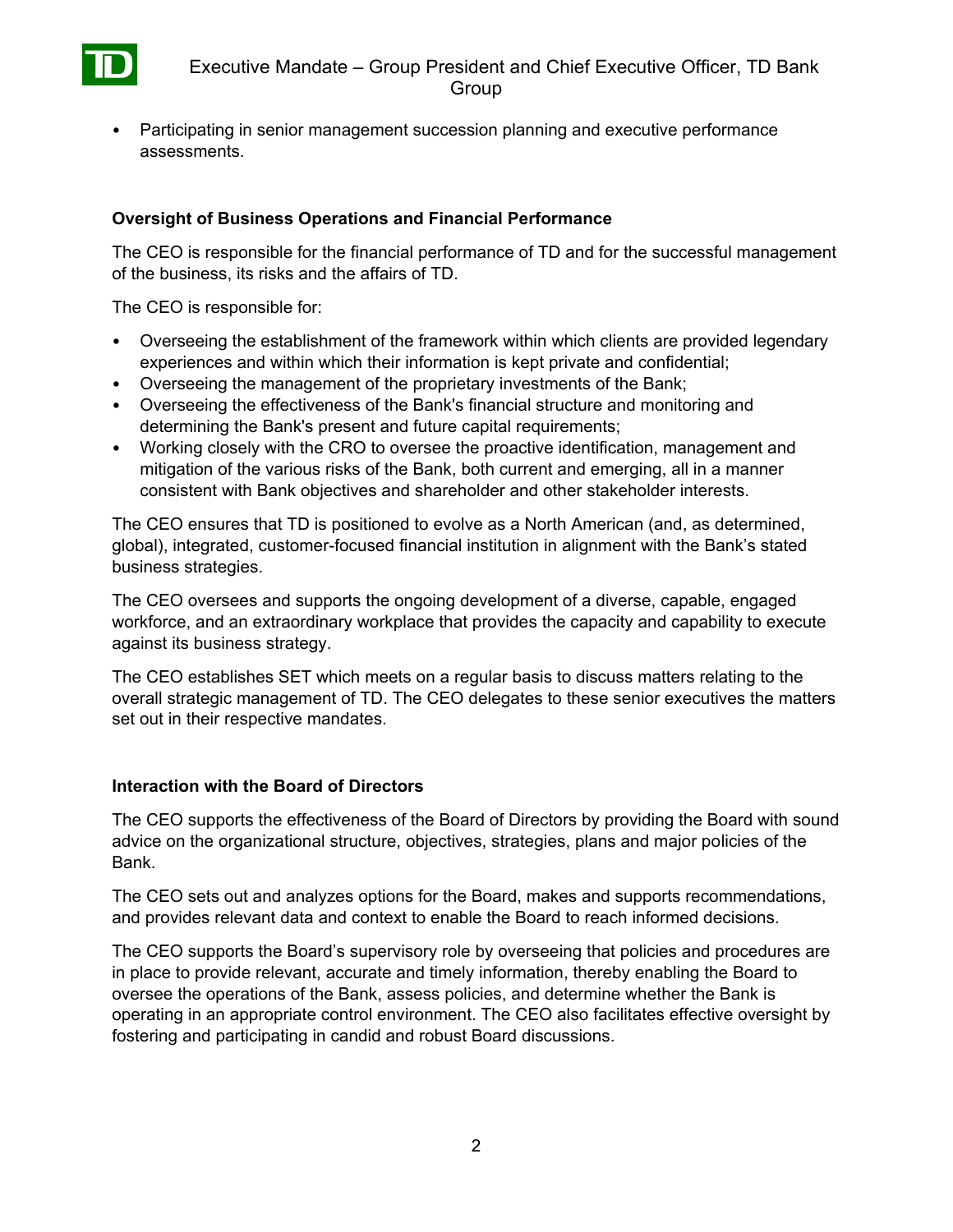

• Participating in senior management succession planning and executive performance assessments.

# **Oversight of Business Operations and Financial Performance**

The CEO is responsible for the financial performance of TD and for the successful management of the business, its risks and the affairs of TD.

The CEO is responsible for:

- Overseeing the establishment of the framework within which clients are provided legendary experiences and within which their information is kept private and confidential;
- Overseeing the management of the proprietary investments of the Bank;
- Overseeing the effectiveness of the Bank's financial structure and monitoring and determining the Bank's present and future capital requirements;
- Working closely with the CRO to oversee the proactive identification, management and mitigation of the various risks of the Bank, both current and emerging, all in a manner consistent with Bank objectives and shareholder and other stakeholder interests.

The CEO ensures that TD is positioned to evolve as a North American (and, as determined, global), integrated, customer-focused financial institution in alignment with the Bank's stated business strategies.

The CEO oversees and supports the ongoing development of a diverse, capable, engaged workforce, and an extraordinary workplace that provides the capacity and capability to execute against its business strategy.

The CEO establishes SET which meets on a regular basis to discuss matters relating to the overall strategic management of TD. The CEO delegates to these senior executives the matters set out in their respective mandates.

### **Interaction with the Board of Directors**

The CEO supports the effectiveness of the Board of Directors by providing the Board with sound advice on the organizational structure, objectives, strategies, plans and major policies of the Bank.

The CEO sets out and analyzes options for the Board, makes and supports recommendations, and provides relevant data and context to enable the Board to reach informed decisions.

The CEO supports the Board's supervisory role by overseeing that policies and procedures are in place to provide relevant, accurate and timely information, thereby enabling the Board to oversee the operations of the Bank, assess policies, and determine whether the Bank is operating in an appropriate control environment. The CEO also facilitates effective oversight by fostering and participating in candid and robust Board discussions.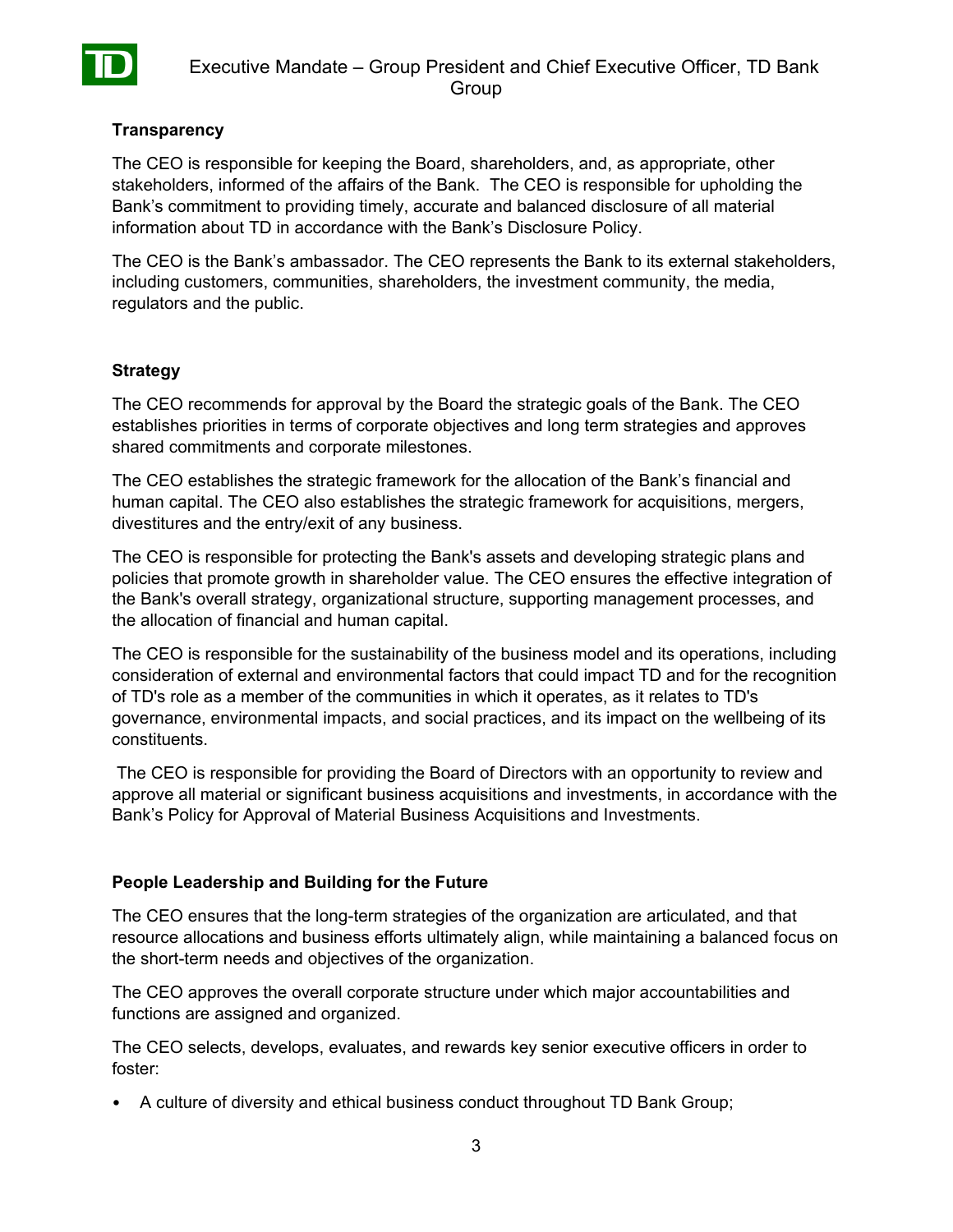

### **Transparency**

The CEO is responsible for keeping the Board, shareholders, and, as appropriate, other stakeholders, informed of the affairs of the Bank. The CEO is responsible for upholding the Bank's commitment to providing timely, accurate and balanced disclosure of all material information about TD in accordance with the Bank's Disclosure Policy.

The CEO is the Bank's ambassador. The CEO represents the Bank to its external stakeholders, including customers, communities, shareholders, the investment community, the media, regulators and the public.

### **Strategy**

The CEO recommends for approval by the Board the strategic goals of the Bank. The CEO establishes priorities in terms of corporate objectives and long term strategies and approves shared commitments and corporate milestones.

The CEO establishes the strategic framework for the allocation of the Bank's financial and human capital. The CEO also establishes the strategic framework for acquisitions, mergers, divestitures and the entry/exit of any business.

The CEO is responsible for protecting the Bank's assets and developing strategic plans and policies that promote growth in shareholder value. The CEO ensures the effective integration of the Bank's overall strategy, organizational structure, supporting management processes, and the allocation of financial and human capital.

The CEO is responsible for the sustainability of the business model and its operations, including consideration of external and environmental factors that could impact TD and for the recognition of TD's role as a member of the communities in which it operates, as it relates to TD's governance, environmental impacts, and social practices, and its impact on the wellbeing of its constituents.

The CEO is responsible for providing the Board of Directors with an opportunity to review and approve all material or significant business acquisitions and investments, in accordance with the Bank's Policy for Approval of Material Business Acquisitions and Investments.

### **People Leadership and Building for the Future**

The CEO ensures that the long-term strategies of the organization are articulated, and that resource allocations and business efforts ultimately align, while maintaining a balanced focus on the short-term needs and objectives of the organization.

The CEO approves the overall corporate structure under which major accountabilities and functions are assigned and organized.

The CEO selects, develops, evaluates, and rewards key senior executive officers in order to foster:

• A culture of diversity and ethical business conduct throughout TD Bank Group;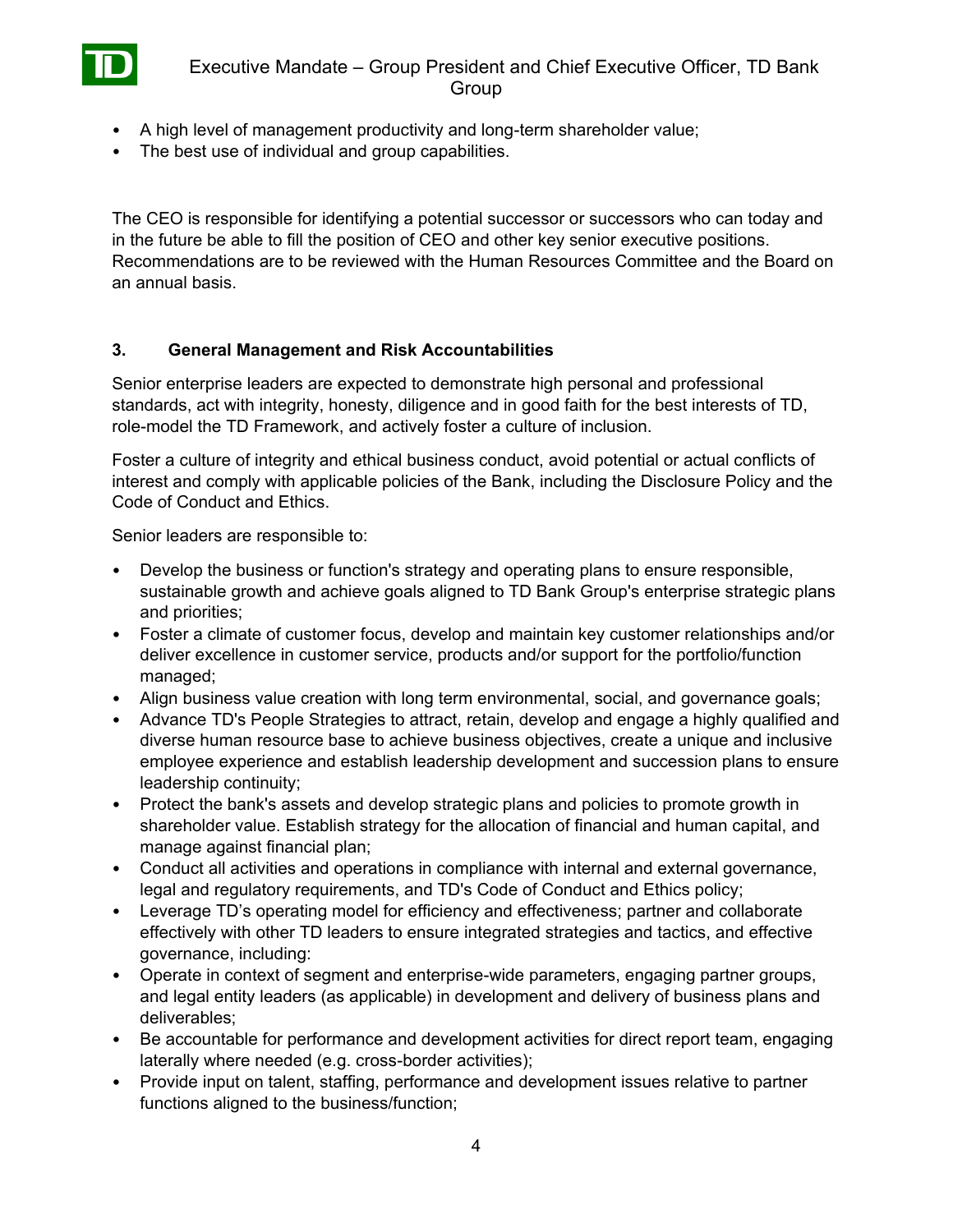- A high level of management productivity and long-term shareholder value;
- The best use of individual and group capabilities.

The CEO is responsible for identifying a potential successor or successors who can today and in the future be able to fill the position of CEO and other key senior executive positions. Recommendations are to be reviewed with the Human Resources Committee and the Board on an annual basis.

#### **3. General Management and Risk Accountabilities**

Senior enterprise leaders are expected to demonstrate high personal and professional standards, act with integrity, honesty, diligence and in good faith for the best interests of TD, role-model the TD Framework, and actively foster a culture of inclusion.

Foster a culture of integrity and ethical business conduct, avoid potential or actual conflicts of interest and comply with applicable policies of the Bank, including the Disclosure Policy and the Code of Conduct and Ethics.

Senior leaders are responsible to:

- Develop the business or function's strategy and operating plans to ensure responsible, sustainable growth and achieve goals aligned to TD Bank Group's enterprise strategic plans and priorities;
- Foster a climate of customer focus, develop and maintain key customer relationships and/or deliver excellence in customer service, products and/or support for the portfolio/function managed;
- Align business value creation with long term environmental, social, and governance goals;
- Advance TD's People Strategies to attract, retain, develop and engage a highly qualified and diverse human resource base to achieve business objectives, create a unique and inclusive employee experience and establish leadership development and succession plans to ensure leadership continuity;
- Protect the bank's assets and develop strategic plans and policies to promote growth in shareholder value. Establish strategy for the allocation of financial and human capital, and manage against financial plan;
- Conduct all activities and operations in compliance with internal and external governance, legal and regulatory requirements, and TD's Code of Conduct and Ethics policy;
- Leverage TD's operating model for efficiency and effectiveness; partner and collaborate effectively with other TD leaders to ensure integrated strategies and tactics, and effective governance, including:
- Operate in context of segment and enterprise-wide parameters, engaging partner groups, and legal entity leaders (as applicable) in development and delivery of business plans and deliverables;
- Be accountable for performance and development activities for direct report team, engaging laterally where needed (e.g. cross-border activities);
- Provide input on talent, staffing, performance and development issues relative to partner functions aligned to the business/function;